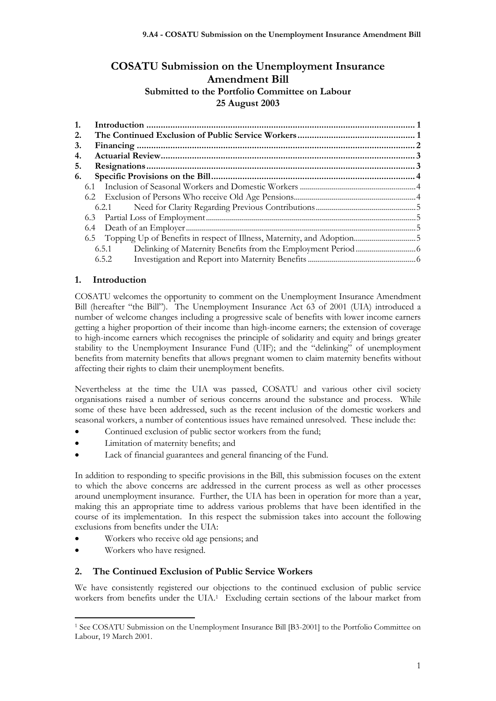# **COSATU Submission on the Unemployment Insurance Amendment Bill Submitted to the Portfolio Committee on Labour 25 August 2003**

| 1. |  |       |  |
|----|--|-------|--|
| 2. |  |       |  |
| 3. |  |       |  |
| 4. |  |       |  |
| 5. |  |       |  |
| 6. |  |       |  |
|    |  |       |  |
|    |  |       |  |
|    |  |       |  |
|    |  |       |  |
|    |  |       |  |
|    |  |       |  |
|    |  | 6.5.1 |  |
|    |  | 6.5.2 |  |

## **1. Introduction**

COSATU welcomes the opportunity to comment on the Unemployment Insurance Amendment Bill (hereafter "the Bill"). The Unemployment Insurance Act 63 of 2001 (UIA) introduced a number of welcome changes including a progressive scale of benefits with lower income earners getting a higher proportion of their income than high-income earners; the extension of coverage to high-income earners which recognises the principle of solidarity and equity and brings greater stability to the Unemployment Insurance Fund (UIF); and the "delinking" of unemployment benefits from maternity benefits that allows pregnant women to claim maternity benefits without affecting their rights to claim their unemployment benefits.

Nevertheless at the time the UIA was passed, COSATU and various other civil society organisations raised a number of serious concerns around the substance and process. While some of these have been addressed, such as the recent inclusion of the domestic workers and seasonal workers, a number of contentious issues have remained unresolved. These include the:

- Continued exclusion of public sector workers from the fund;
- Limitation of maternity benefits; and
- Lack of financial guarantees and general financing of the Fund.

In addition to responding to specific provisions in the Bill, this submission focuses on the extent to which the above concerns are addressed in the current process as well as other processes around unemployment insurance. Further, the UIA has been in operation for more than a year, making this an appropriate time to address various problems that have been identified in the course of its implementation. In this respect the submission takes into account the following exclusions from benefits under the UIA:

- Workers who receive old age pensions; and
- Workers who have resigned.

### **2. The Continued Exclusion of Public Service Workers**

We have consistently registered our objections to the continued exclusion of public service workers from benefits under the UIA.<sup>1</sup> Excluding certain sections of the labour market from

<sup>1</sup> See COSATU Submission on the Unemployment Insurance Bill [B3-2001] to the Portfolio Committee on Labour, 19 March 2001.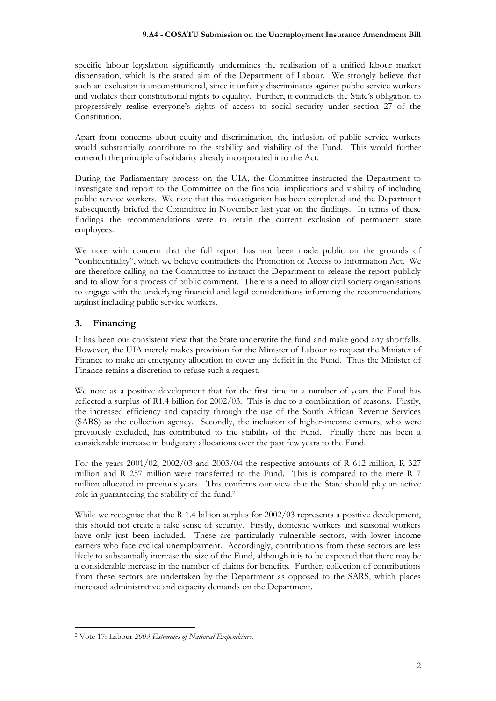#### **9.A4 - COSATU Submission on the Unemployment Insurance Amendment Bill**

specific labour legislation significantly undermines the realisation of a unified labour market dispensation, which is the stated aim of the Department of Labour. We strongly believe that such an exclusion is unconstitutional, since it unfairly discriminates against public service workers and violates their constitutional rights to equality. Further, it contradicts the State's obligation to progressively realise everyone's rights of access to social security under section 27 of the Constitution.

Apart from concerns about equity and discrimination, the inclusion of public service workers would substantially contribute to the stability and viability of the Fund. This would further entrench the principle of solidarity already incorporated into the Act.

During the Parliamentary process on the UIA, the Committee instructed the Department to investigate and report to the Committee on the financial implications and viability of including public service workers. We note that this investigation has been completed and the Department subsequently briefed the Committee in November last year on the findings. In terms of these findings the recommendations were to retain the current exclusion of permanent state employees.

We note with concern that the full report has not been made public on the grounds of "confidentiality", which we believe contradicts the Promotion of Access to Information Act. We are therefore calling on the Committee to instruct the Department to release the report publicly and to allow for a process of public comment. There is a need to allow civil society organisations to engage with the underlying financial and legal considerations informing the recommendations against including public service workers.

### **3. Financing**

It has been our consistent view that the State underwrite the fund and make good any shortfalls. However, the UIA merely makes provision for the Minister of Labour to request the Minister of Finance to make an emergency allocation to cover any deficit in the Fund. Thus the Minister of Finance retains a discretion to refuse such a request.

We note as a positive development that for the first time in a number of years the Fund has reflected a surplus of R1.4 billion for 2002/03. This is due to a combination of reasons. Firstly, the increased efficiency and capacity through the use of the South African Revenue Services (SARS) as the collection agency. Secondly, the inclusion of higher-income earners, who were previously excluded, has contributed to the stability of the Fund. Finally there has been a considerable increase in budgetary allocations over the past few years to the Fund.

For the years 2001/02, 2002/03 and 2003/04 the respective amounts of R 612 million, R 327 million and R 257 million were transferred to the Fund. This is compared to the mere R 7 million allocated in previous years. This confirms our view that the State should play an active role in guaranteeing the stability of the fund.<sup>2</sup>

While we recognise that the R 1.4 billion surplus for  $2002/03$  represents a positive development, this should not create a false sense of security. Firstly, domestic workers and seasonal workers have only just been included. These are particularly vulnerable sectors, with lower income earners who face cyclical unemployment. Accordingly, contributions from these sectors are less likely to substantially increase the size of the Fund, although it is to be expected that there may be a considerable increase in the number of claims for benefits. Further, collection of contributions from these sectors are undertaken by the Department as opposed to the SARS, which places increased administrative and capacity demands on the Department.

<sup>2</sup> Vote 17: Labour *2003 Estimates of National Expenditure.*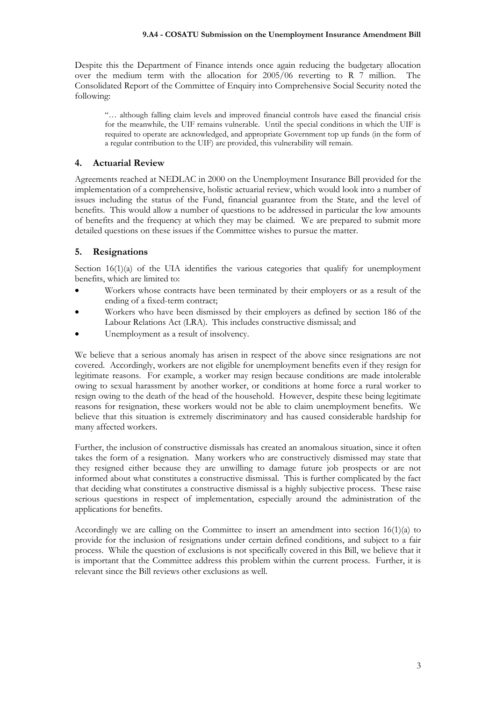Despite this the Department of Finance intends once again reducing the budgetary allocation over the medium term with the allocation for 2005/06 reverting to R 7 million. The Consolidated Report of the Committee of Enquiry into Comprehensive Social Security noted the following:

"… although falling claim levels and improved financial controls have eased the financial crisis for the meanwhile, the UIF remains vulnerable. Until the special conditions in which the UIF is required to operate are acknowledged, and appropriate Government top up funds (in the form of a regular contribution to the UIF) are provided, this vulnerability will remain.

### **4. Actuarial Review**

Agreements reached at NEDLAC in 2000 on the Unemployment Insurance Bill provided for the implementation of a comprehensive, holistic actuarial review, which would look into a number of issues including the status of the Fund, financial guarantee from the State, and the level of benefits. This would allow a number of questions to be addressed in particular the low amounts of benefits and the frequency at which they may be claimed. We are prepared to submit more detailed questions on these issues if the Committee wishes to pursue the matter.

### **5. Resignations**

Section  $16(1)(a)$  of the UIA identifies the various categories that qualify for unemployment benefits, which are limited to:

- Workers whose contracts have been terminated by their employers or as a result of the ending of a fixed-term contract;
- Workers who have been dismissed by their employers as defined by section 186 of the Labour Relations Act (LRA). This includes constructive dismissal; and
- Unemployment as a result of insolvency.

We believe that a serious anomaly has arisen in respect of the above since resignations are not covered. Accordingly, workers are not eligible for unemployment benefits even if they resign for legitimate reasons. For example, a worker may resign because conditions are made intolerable owing to sexual harassment by another worker, or conditions at home force a rural worker to resign owing to the death of the head of the household. However, despite these being legitimate reasons for resignation, these workers would not be able to claim unemployment benefits. We believe that this situation is extremely discriminatory and has caused considerable hardship for many affected workers.

Further, the inclusion of constructive dismissals has created an anomalous situation, since it often takes the form of a resignation. Many workers who are constructively dismissed may state that they resigned either because they are unwilling to damage future job prospects or are not informed about what constitutes a constructive dismissal. This is further complicated by the fact that deciding what constitutes a constructive dismissal is a highly subjective process. These raise serious questions in respect of implementation, especially around the administration of the applications for benefits.

Accordingly we are calling on the Committee to insert an amendment into section  $16(1)(a)$  to provide for the inclusion of resignations under certain defined conditions, and subject to a fair process. While the question of exclusions is not specifically covered in this Bill, we believe that it is important that the Committee address this problem within the current process. Further, it is relevant since the Bill reviews other exclusions as well.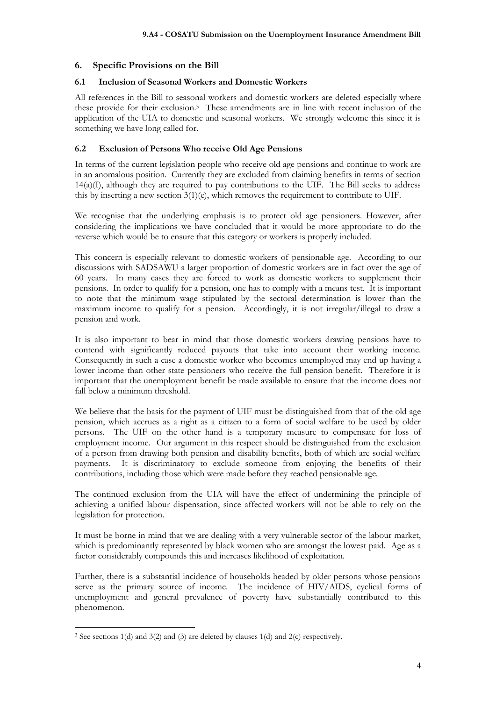### **6. Specific Provisions on the Bill**

#### **6.1 Inclusion of Seasonal Workers and Domestic Workers**

All references in the Bill to seasonal workers and domestic workers are deleted especially where these provide for their exclusion.<sup>3</sup> These amendments are in line with recent inclusion of the application of the UIA to domestic and seasonal workers. We strongly welcome this since it is something we have long called for.

#### **6.2 Exclusion of Persons Who receive Old Age Pensions**

In terms of the current legislation people who receive old age pensions and continue to work are in an anomalous position. Currently they are excluded from claiming benefits in terms of section  $14(a)(I)$ , although they are required to pay contributions to the UIF. The Bill seeks to address this by inserting a new section 3(1)(e), which removes the requirement to contribute to UIF.

We recognise that the underlying emphasis is to protect old age pensioners. However, after considering the implications we have concluded that it would be more appropriate to do the reverse which would be to ensure that this category or workers is properly included.

This concern is especially relevant to domestic workers of pensionable age. According to our discussions with SADSAWU a larger proportion of domestic workers are in fact over the age of 60 years. In many cases they are forced to work as domestic workers to supplement their pensions. In order to qualify for a pension, one has to comply with a means test. It is important to note that the minimum wage stipulated by the sectoral determination is lower than the maximum income to qualify for a pension. Accordingly, it is not irregular/illegal to draw a pension and work.

It is also important to bear in mind that those domestic workers drawing pensions have to contend with significantly reduced payouts that take into account their working income. Consequently in such a case a domestic worker who becomes unemployed may end up having a lower income than other state pensioners who receive the full pension benefit. Therefore it is important that the unemployment benefit be made available to ensure that the income does not fall below a minimum threshold.

We believe that the basis for the payment of UIF must be distinguished from that of the old age pension, which accrues as a right as a citizen to a form of social welfare to be used by older persons. The UIF on the other hand is a temporary measure to compensate for loss of employment income. Our argument in this respect should be distinguished from the exclusion of a person from drawing both pension and disability benefits, both of which are social welfare payments. It is discriminatory to exclude someone from enjoying the benefits of their contributions, including those which were made before they reached pensionable age.

The continued exclusion from the UIA will have the effect of undermining the principle of achieving a unified labour dispensation, since affected workers will not be able to rely on the legislation for protection.

It must be borne in mind that we are dealing with a very vulnerable sector of the labour market, which is predominantly represented by black women who are amongst the lowest paid. Age as a factor considerably compounds this and increases likelihood of exploitation.

Further, there is a substantial incidence of households headed by older persons whose pensions serve as the primary source of income. The incidence of HIV/AIDS, cyclical forms of unemployment and general prevalence of poverty have substantially contributed to this phenomenon.

<sup>3</sup> See sections 1(d) and 3(2) and (3) are deleted by clauses 1(d) and 2(c) respectively.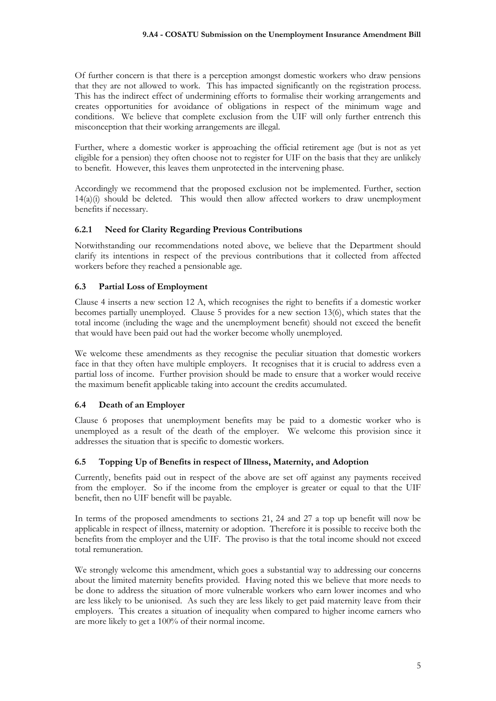Of further concern is that there is a perception amongst domestic workers who draw pensions that they are not allowed to work. This has impacted significantly on the registration process. This has the indirect effect of undermining efforts to formalise their working arrangements and creates opportunities for avoidance of obligations in respect of the minimum wage and conditions. We believe that complete exclusion from the UIF will only further entrench this misconception that their working arrangements are illegal.

Further, where a domestic worker is approaching the official retirement age (but is not as yet eligible for a pension) they often choose not to register for UIF on the basis that they are unlikely to benefit. However, this leaves them unprotected in the intervening phase.

Accordingly we recommend that the proposed exclusion not be implemented. Further, section  $14(a)(i)$  should be deleted. This would then allow affected workers to draw unemployment benefits if necessary.

### **6.2.1 Need for Clarity Regarding Previous Contributions**

Notwithstanding our recommendations noted above, we believe that the Department should clarify its intentions in respect of the previous contributions that it collected from affected workers before they reached a pensionable age.

### **6.3 Partial Loss of Employment**

Clause 4 inserts a new section 12 A, which recognises the right to benefits if a domestic worker becomes partially unemployed. Clause 5 provides for a new section 13(6), which states that the total income (including the wage and the unemployment benefit) should not exceed the benefit that would have been paid out had the worker become wholly unemployed.

We welcome these amendments as they recognise the peculiar situation that domestic workers face in that they often have multiple employers. It recognises that it is crucial to address even a partial loss of income. Further provision should be made to ensure that a worker would receive the maximum benefit applicable taking into account the credits accumulated.

### **6.4 Death of an Employer**

Clause 6 proposes that unemployment benefits may be paid to a domestic worker who is unemployed as a result of the death of the employer. We welcome this provision since it addresses the situation that is specific to domestic workers.

### **6.5 Topping Up of Benefits in respect of Illness, Maternity, and Adoption**

Currently, benefits paid out in respect of the above are set off against any payments received from the employer. So if the income from the employer is greater or equal to that the UIF benefit, then no UIF benefit will be payable.

In terms of the proposed amendments to sections 21, 24 and 27 a top up benefit will now be applicable in respect of illness, maternity or adoption. Therefore it is possible to receive both the benefits from the employer and the UIF. The proviso is that the total income should not exceed total remuneration.

We strongly welcome this amendment, which goes a substantial way to addressing our concerns about the limited maternity benefits provided. Having noted this we believe that more needs to be done to address the situation of more vulnerable workers who earn lower incomes and who are less likely to be unionised. As such they are less likely to get paid maternity leave from their employers. This creates a situation of inequality when compared to higher income earners who are more likely to get a 100% of their normal income.